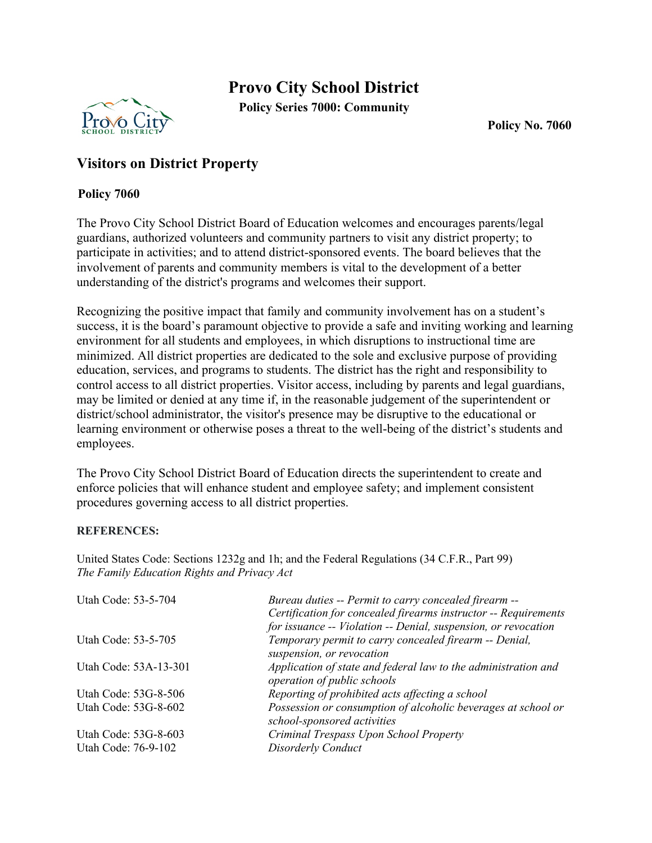## **Provo City School District**



**Policy Series 7000: Community**

**Policy No. 7060**

## **Visitors on District Property**

## **Policy 7060**

The Provo City School District Board of Education welcomes and encourages parents/legal guardians, authorized volunteers and community partners to visit any district property; to participate in activities; and to attend district-sponsored events. The board believes that the involvement of parents and community members is vital to the development of a better understanding of the district's programs and welcomes their support.

Recognizing the positive impact that family and community involvement has on a student's success, it is the board's paramount objective to provide a safe and inviting working and learning environment for all students and employees, in which disruptions to instructional time are minimized. All district properties are dedicated to the sole and exclusive purpose of providing education, services, and programs to students. The district has the right and responsibility to control access to all district properties. Visitor access, including by parents and legal guardians, may be limited or denied at any time if, in the reasonable judgement of the superintendent or district/school administrator, the visitor's presence may be disruptive to the educational or learning environment or otherwise poses a threat to the well-being of the district's students and employees.

The Provo City School District Board of Education directs the superintendent to create and enforce policies that will enhance student and employee safety; and implement consistent procedures governing access to all district properties.

## **REFERENCES:**

United States Code: Sections 1232g and 1h; and the Federal Regulations (34 C.F.R., Part 99) *The Family Education Rights and Privacy Act*

| Utah Code: 53-5-704   | Bureau duties -- Permit to carry concealed firearm --<br>Certification for concealed firearms instructor -- Requirements<br>for issuance -- Violation -- Denial, suspension, or revocation |
|-----------------------|--------------------------------------------------------------------------------------------------------------------------------------------------------------------------------------------|
| Utah Code: 53-5-705   | Temporary permit to carry concealed firearm -- Denial,<br>suspension, or revocation                                                                                                        |
| Utah Code: 53A-13-301 | Application of state and federal law to the administration and<br>operation of public schools                                                                                              |
| Utah Code: 53G-8-506  | Reporting of prohibited acts affecting a school                                                                                                                                            |
| Utah Code: 53G-8-602  | Possession or consumption of alcoholic beverages at school or<br>school-sponsored activities                                                                                               |
| Utah Code: 53G-8-603  | Criminal Trespass Upon School Property                                                                                                                                                     |
| Utah Code: 76-9-102   | Disorderly Conduct                                                                                                                                                                         |